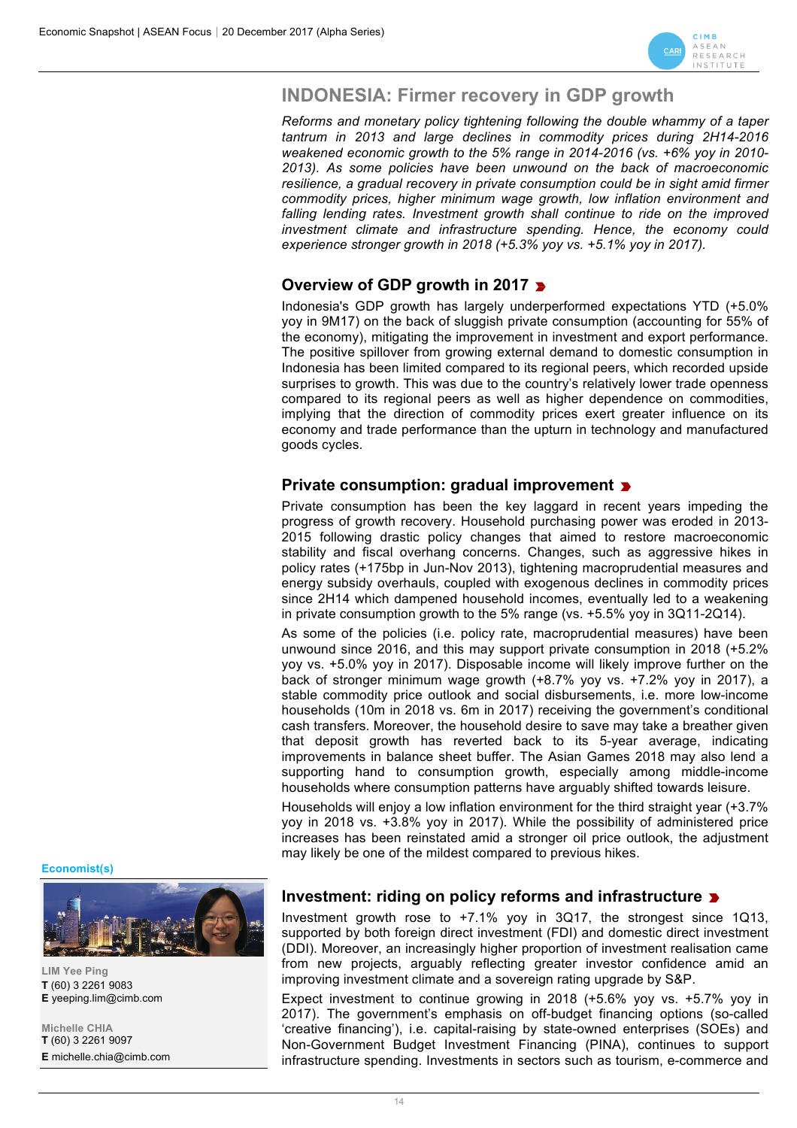

# **INDONESIA: Firmer recovery in GDP growth**

*Reforms and monetary policy tightening following the double whammy of a taper tantrum in 2013 and large declines in commodity prices during 2H14-2016 weakened economic growth to the 5% range in 2014-2016 (vs. +6% yoy in 2010- 2013). As some policies have been unwound on the back of macroeconomic resilience, a gradual recovery in private consumption could be in sight amid firmer commodity prices, higher minimum wage growth, low inflation environment and falling lending rates. Investment growth shall continue to ride on the improved investment climate and infrastructure spending. Hence, the economy could experience stronger growth in 2018 (+5.3% yoy vs. +5.1% yoy in 2017).* 

# **Overview of GDP growth in 2017**

Indonesia's GDP growth has largely underperformed expectations YTD (+5.0% yoy in 9M17) on the back of sluggish private consumption (accounting for 55% of the economy), mitigating the improvement in investment and export performance. The positive spillover from growing external demand to domestic consumption in Indonesia has been limited compared to its regional peers, which recorded upside surprises to growth. This was due to the country's relatively lower trade openness compared to its regional peers as well as higher dependence on commodities, implying that the direction of commodity prices exert greater influence on its economy and trade performance than the upturn in technology and manufactured goods cycles.

### **Private consumption: gradual improvement**

Private consumption has been the key laggard in recent years impeding the progress of growth recovery. Household purchasing power was eroded in 2013- 2015 following drastic policy changes that aimed to restore macroeconomic stability and fiscal overhang concerns. Changes, such as aggressive hikes in policy rates (+175bp in Jun-Nov 2013), tightening macroprudential measures and energy subsidy overhauls, coupled with exogenous declines in commodity prices since 2H14 which dampened household incomes, eventually led to a weakening in private consumption growth to the 5% range (vs. +5.5% yoy in 3Q11-2Q14).

As some of the policies (i.e. policy rate, macroprudential measures) have been unwound since 2016, and this may support private consumption in 2018 (+5.2% yoy vs. +5.0% yoy in 2017). Disposable income will likely improve further on the back of stronger minimum wage growth (+8.7% yoy vs. +7.2% yoy in 2017), a stable commodity price outlook and social disbursements, i.e. more low-income households (10m in 2018 vs. 6m in 2017) receiving the government's conditional cash transfers. Moreover, the household desire to save may take a breather given that deposit growth has reverted back to its 5-year average, indicating improvements in balance sheet buffer. The Asian Games 2018 may also lend a supporting hand to consumption growth, especially among middle-income households where consumption patterns have arguably shifted towards leisure.

Households will enjoy a low inflation environment for the third straight year (+3.7% yoy in 2018 vs. +3.8% yoy in 2017). While the possibility of administered price increases has been reinstated amid a stronger oil price outlook, the adjustment may likely be one of the mildest compared to previous hikes.

**Economist(s)**



**LIM Yee Ping T** (60) 3 2261 9083 **E** yeeping.lim@cimb.com

**Michelle CHIA T** (60) 3 2261 9097 **E** michelle.chia@cimb.com

#### **Investment: riding on policy reforms and infrastructure**

Investment growth rose to +7.1% yoy in 3Q17, the strongest since 1Q13, supported by both foreign direct investment (FDI) and domestic direct investment (DDI). Moreover, an increasingly higher proportion of investment realisation came from new projects, arguably reflecting greater investor confidence amid an improving investment climate and a sovereign rating upgrade by S&P.

Expect investment to continue growing in 2018 (+5.6% yoy vs. +5.7% yoy in 2017). The government's emphasis on off-budget financing options (so-called 'creative financing'), i.e. capital-raising by state-owned enterprises (SOEs) and Non-Government Budget Investment Financing (PINA), continues to support infrastructure spending. Investments in sectors such as tourism, e-commerce and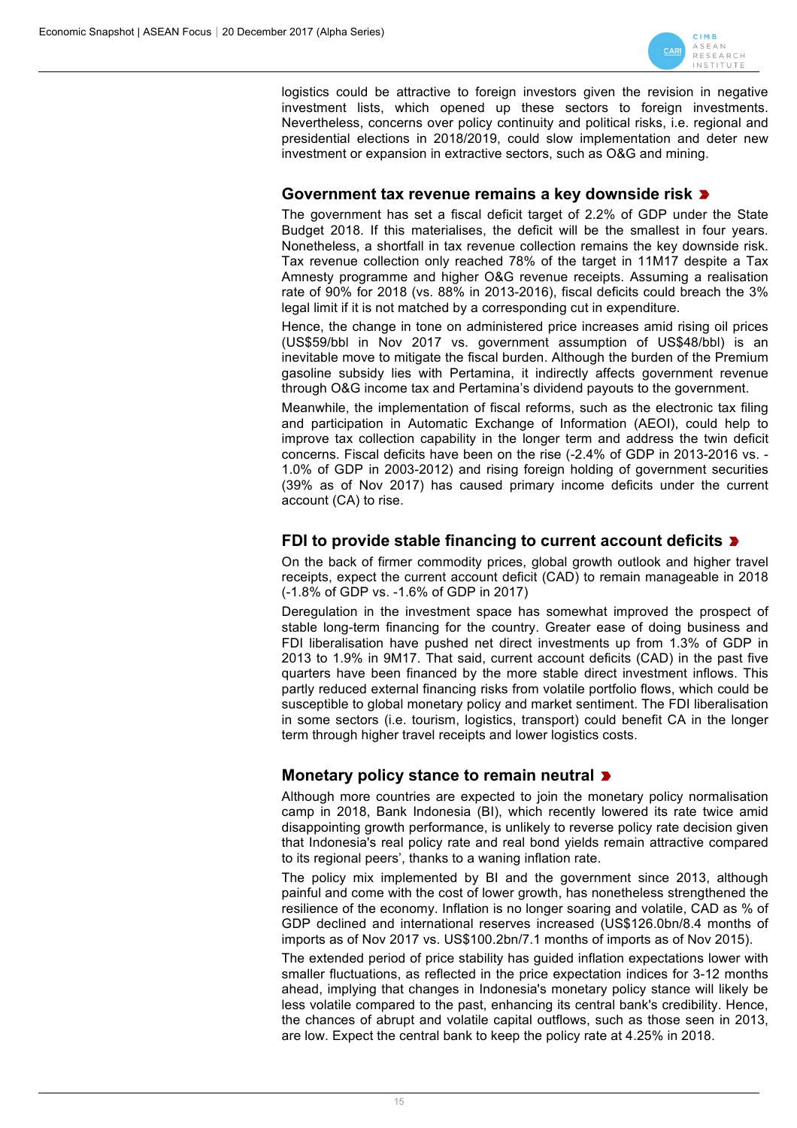

logistics could be attractive to foreign investors given the revision in negative investment lists, which opened up these sectors to foreign investments. Nevertheless, concerns over policy continuity and political risks, i.e. regional and presidential elections in 2018/2019, could slow implementation and deter new investment or expansion in extractive sectors, such as O&G and mining.

#### **Government tax revenue remains a key downside risk**

The government has set a fiscal deficit target of 2.2% of GDP under the State Budget 2018. If this materialises, the deficit will be the smallest in four years. Nonetheless, a shortfall in tax revenue collection remains the key downside risk. Tax revenue collection only reached 78% of the target in 11M17 despite a Tax Amnesty programme and higher O&G revenue receipts. Assuming a realisation rate of 90% for 2018 (vs. 88% in 2013-2016), fiscal deficits could breach the 3% legal limit if it is not matched by a corresponding cut in expenditure.

Hence, the change in tone on administered price increases amid rising oil prices (US\$59/bbl in Nov 2017 vs. government assumption of US\$48/bbl) is an inevitable move to mitigate the fiscal burden. Although the burden of the Premium gasoline subsidy lies with Pertamina, it indirectly affects government revenue through O&G income tax and Pertamina's dividend payouts to the government.

Meanwhile, the implementation of fiscal reforms, such as the electronic tax filing and participation in Automatic Exchange of Information (AEOI), could help to improve tax collection capability in the longer term and address the twin deficit concerns. Fiscal deficits have been on the rise (-2.4% of GDP in 2013-2016 vs. - 1.0% of GDP in 2003-2012) and rising foreign holding of government securities (39% as of Nov 2017) has caused primary income deficits under the current account (CA) to rise.

### **FDI to provide stable financing to current account deficits**

On the back of firmer commodity prices, global growth outlook and higher travel receipts, expect the current account deficit (CAD) to remain manageable in 2018 (-1.8% of GDP vs. -1.6% of GDP in 2017)

Deregulation in the investment space has somewhat improved the prospect of stable long-term financing for the country. Greater ease of doing business and FDI liberalisation have pushed net direct investments up from 1.3% of GDP in 2013 to 1.9% in 9M17. That said, current account deficits (CAD) in the past five quarters have been financed by the more stable direct investment inflows. This partly reduced external financing risks from volatile portfolio flows, which could be susceptible to global monetary policy and market sentiment. The FDI liberalisation in some sectors (i.e. tourism, logistics, transport) could benefit CA in the longer term through higher travel receipts and lower logistics costs.

# **Monetary policy stance to remain neutral**

Although more countries are expected to join the monetary policy normalisation camp in 2018, Bank Indonesia (BI), which recently lowered its rate twice amid disappointing growth performance, is unlikely to reverse policy rate decision given that Indonesia's real policy rate and real bond yields remain attractive compared to its regional peers', thanks to a waning inflation rate.

The policy mix implemented by BI and the government since 2013, although painful and come with the cost of lower growth, has nonetheless strengthened the resilience of the economy. Inflation is no longer soaring and volatile, CAD as % of GDP declined and international reserves increased (US\$126.0bn/8.4 months of imports as of Nov 2017 vs. US\$100.2bn/7.1 months of imports as of Nov 2015).

The extended period of price stability has guided inflation expectations lower with smaller fluctuations, as reflected in the price expectation indices for 3-12 months ahead, implying that changes in Indonesia's monetary policy stance will likely be less volatile compared to the past, enhancing its central bank's credibility. Hence, the chances of abrupt and volatile capital outflows, such as those seen in 2013, are low. Expect the central bank to keep the policy rate at 4.25% in 2018.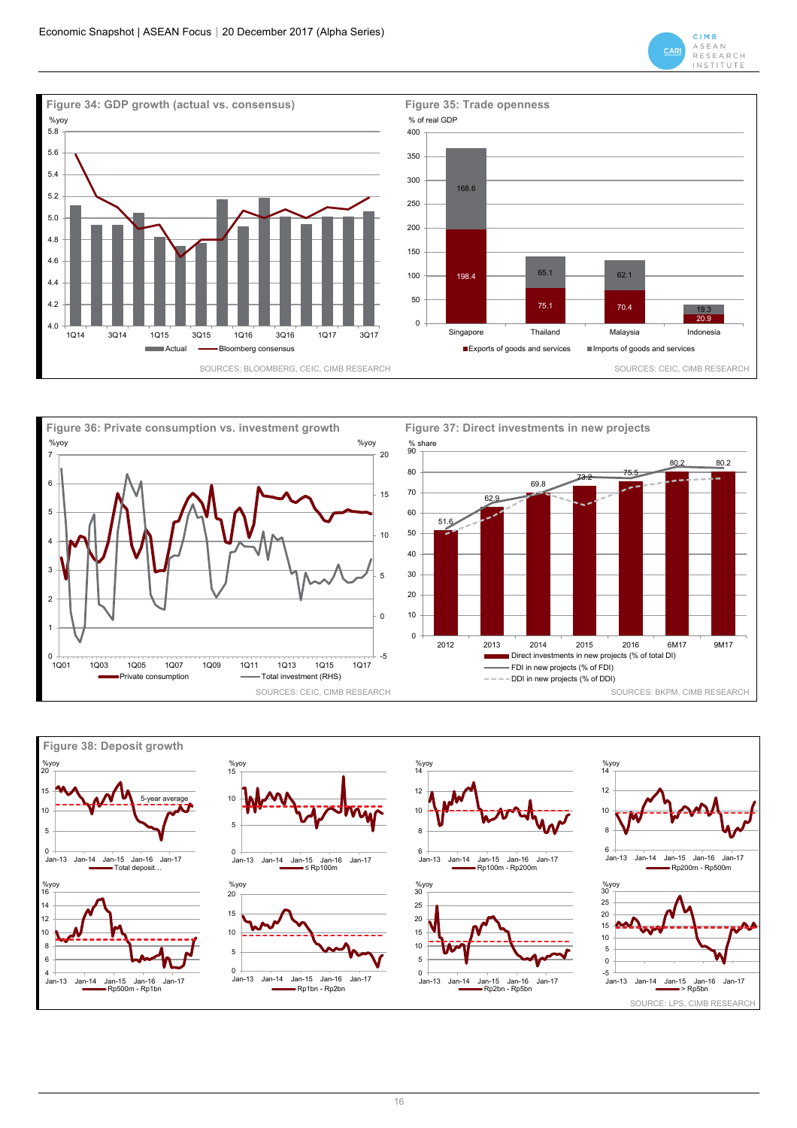







16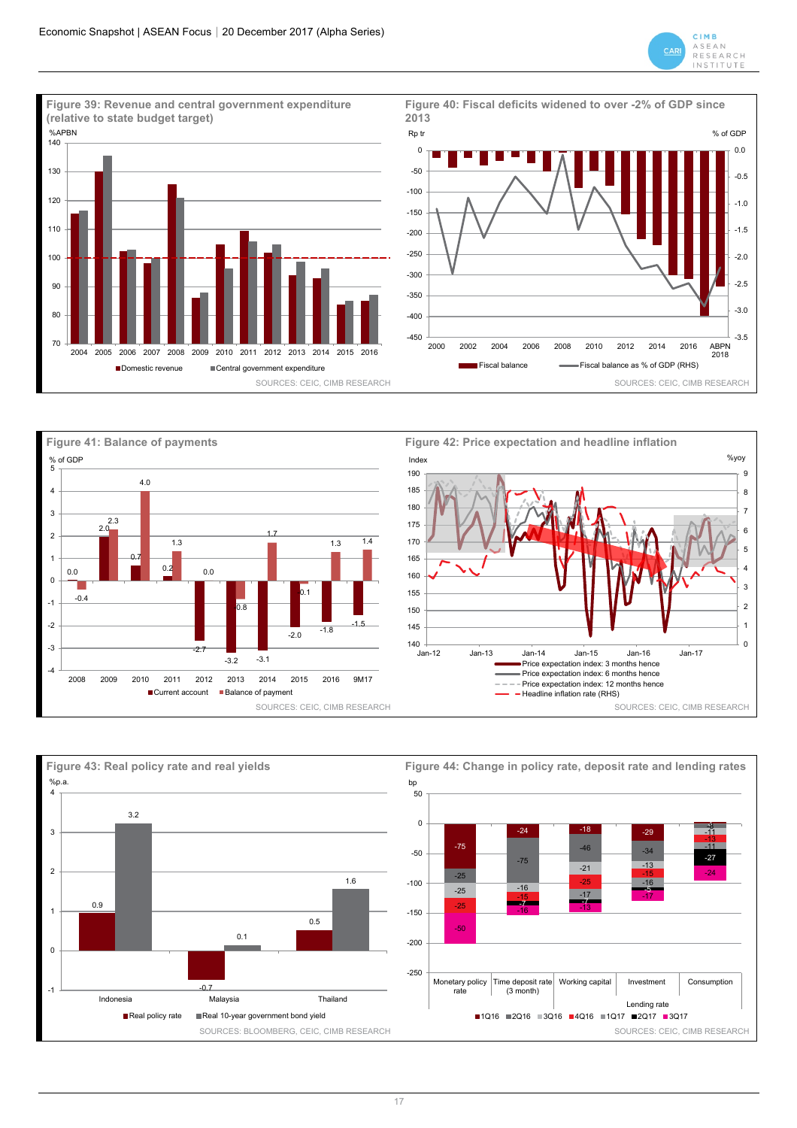







17